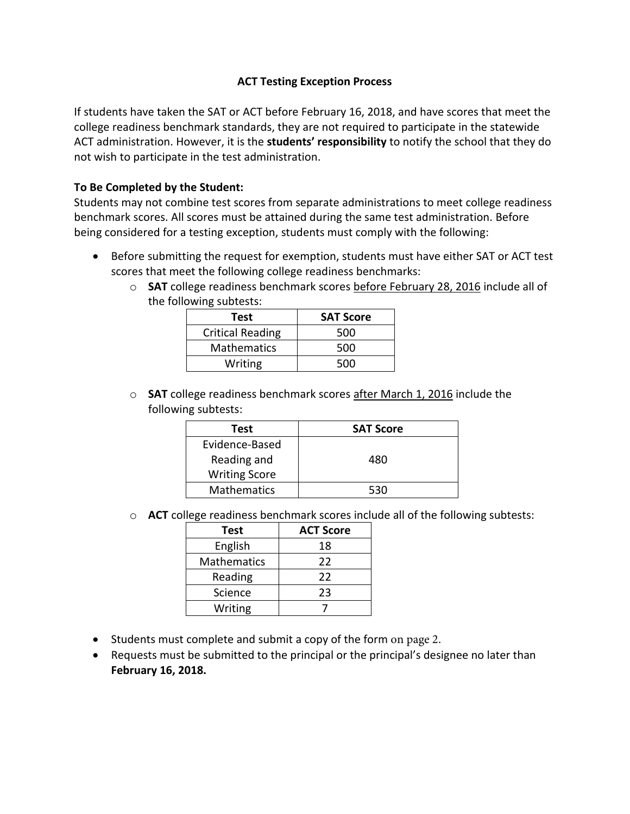## **ACT Testing Exception Process**

If students have taken the SAT or ACT before February 16, 2018, and have scores that meet the college readiness benchmark standards, they are not required to participate in the statewide ACT administration. However, it is the **students' responsibility** to notify the school that they do not wish to participate in the test administration.

## **To Be Completed by the Student:**

Students may not combine test scores from separate administrations to meet college readiness benchmark scores. All scores must be attained during the same test administration. Before being considered for a testing exception, students must comply with the following:

- Before submitting the request for exemption, students must have either SAT or ACT test scores that meet the following college readiness benchmarks:
	- o **SAT** college readiness benchmark scores before February 28, 2016 include all of the following subtests:

| Test                    | <b>SAT Score</b> |
|-------------------------|------------------|
| <b>Critical Reading</b> | 500              |
| <b>Mathematics</b>      | 500              |
| Writing                 | 500              |

o **SAT** college readiness benchmark scores after March 1, 2016 include the following subtests:

| Test                 | <b>SAT Score</b> |  |
|----------------------|------------------|--|
| Evidence-Based       |                  |  |
| Reading and          | 480              |  |
| <b>Writing Score</b> |                  |  |
| <b>Mathematics</b>   | 530              |  |

o **ACT** college readiness benchmark scores include all of the following subtests:

| Test               | <b>ACT Score</b> |
|--------------------|------------------|
| English            | 18               |
| <b>Mathematics</b> | 22               |
| Reading            | 22               |
| Science            | 23               |
| Writing            |                  |

- Students must complete and submit a copy of the form on page 2.
- Requests must be submitted to the principal or the principal's designee no later than **February 16, 2018.**